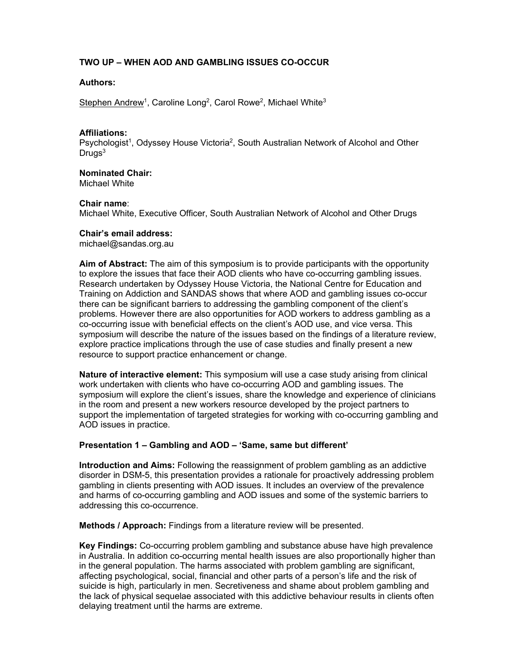# **TWO UP – WHEN AOD AND GAMBLING ISSUES CO-OCCUR**

# **Authors:**

Stephen Andrew<sup>1</sup>, Caroline Long<sup>2</sup>, Carol Rowe<sup>2</sup>, Michael White<sup>3</sup>

### **Affiliations:**

Psychologist<sup>1</sup>, Odyssey House Victoria<sup>2</sup>, South Australian Network of Alcohol and Other  $Dru$ gs<sup>3</sup>

# **Nominated Chair:**

Michael White

# **Chair name**:

Michael White, Executive Officer, South Australian Network of Alcohol and Other Drugs

### **Chair's email address:**

michael@sandas.org.au

**Aim of Abstract:** The aim of this symposium is to provide participants with the opportunity to explore the issues that face their AOD clients who have co-occurring gambling issues. Research undertaken by Odyssey House Victoria, the National Centre for Education and Training on Addiction and SANDAS shows that where AOD and gambling issues co-occur there can be significant barriers to addressing the gambling component of the client's problems. However there are also opportunities for AOD workers to address gambling as a co-occurring issue with beneficial effects on the client's AOD use, and vice versa. This symposium will describe the nature of the issues based on the findings of a literature review, explore practice implications through the use of case studies and finally present a new resource to support practice enhancement or change.

**Nature of interactive element:** This symposium will use a case study arising from clinical work undertaken with clients who have co-occurring AOD and gambling issues. The symposium will explore the client's issues, share the knowledge and experience of clinicians in the room and present a new workers resource developed by the project partners to support the implementation of targeted strategies for working with co-occurring gambling and AOD issues in practice.

# **Presentation 1 – Gambling and AOD – 'Same, same but different'**

**Introduction and Aims:** Following the reassignment of problem gambling as an addictive disorder in DSM-5, this presentation provides a rationale for proactively addressing problem gambling in clients presenting with AOD issues. It includes an overview of the prevalence and harms of co-occurring gambling and AOD issues and some of the systemic barriers to addressing this co-occurrence.

**Methods / Approach:** Findings from a literature review will be presented.

**Key Findings:** Co-occurring problem gambling and substance abuse have high prevalence in Australia. In addition co-occurring mental health issues are also proportionally higher than in the general population. The harms associated with problem gambling are significant, affecting psychological, social, financial and other parts of a person's life and the risk of suicide is high, particularly in men. Secretiveness and shame about problem gambling and the lack of physical sequelae associated with this addictive behaviour results in clients often delaying treatment until the harms are extreme.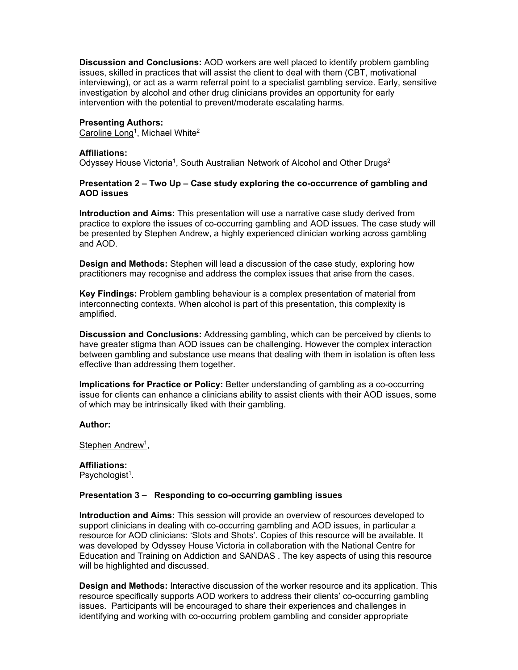**Discussion and Conclusions:** AOD workers are well placed to identify problem gambling issues, skilled in practices that will assist the client to deal with them (CBT, motivational interviewing), or act as a warm referral point to a specialist gambling service. Early, sensitive investigation by alcohol and other drug clinicians provides an opportunity for early intervention with the potential to prevent/moderate escalating harms.

### **Presenting Authors:**

Caroline Long<sup>1</sup>, Michael White<sup>2</sup>

#### **Affiliations:**

Odyssey House Victoria<sup>1</sup>, South Australian Network of Alcohol and Other Drugs<sup>2</sup>

## **Presentation 2 – Two Up – Case study exploring the co-occurrence of gambling and AOD issues**

**Introduction and Aims:** This presentation will use a narrative case study derived from practice to explore the issues of co-occurring gambling and AOD issues. The case study will be presented by Stephen Andrew, a highly experienced clinician working across gambling and AOD.

**Design and Methods:** Stephen will lead a discussion of the case study, exploring how practitioners may recognise and address the complex issues that arise from the cases.

**Key Findings:** Problem gambling behaviour is a complex presentation of material from interconnecting contexts. When alcohol is part of this presentation, this complexity is amplified.

**Discussion and Conclusions:** Addressing gambling, which can be perceived by clients to have greater stigma than AOD issues can be challenging. However the complex interaction between gambling and substance use means that dealing with them in isolation is often less effective than addressing them together.

**Implications for Practice or Policy:** Better understanding of gambling as a co-occurring issue for clients can enhance a clinicians ability to assist clients with their AOD issues, some of which may be intrinsically liked with their gambling.

#### **Author:**

Stephen Andrew<sup>1</sup>,

**Affiliations:**  Psychologist<sup>1</sup>.

### **Presentation 3 – Responding to co-occurring gambling issues**

**Introduction and Aims:** This session will provide an overview of resources developed to support clinicians in dealing with co-occurring gambling and AOD issues, in particular a resource for AOD clinicians: 'Slots and Shots'. Copies of this resource will be available. It was developed by Odyssey House Victoria in collaboration with the National Centre for Education and Training on Addiction and SANDAS . The key aspects of using this resource will be highlighted and discussed.

**Design and Methods:** Interactive discussion of the worker resource and its application. This resource specifically supports AOD workers to address their clients' co-occurring gambling issues. Participants will be encouraged to share their experiences and challenges in identifying and working with co-occurring problem gambling and consider appropriate